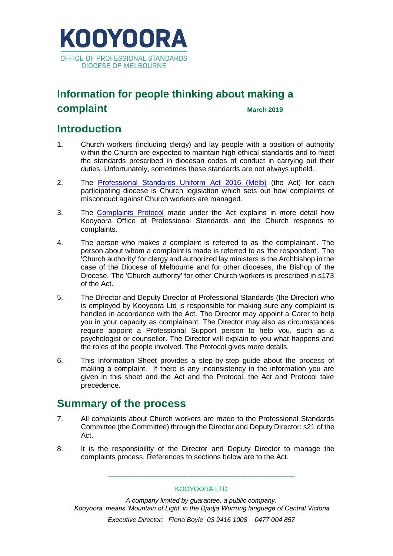

## **Information for people thinking about making a complaint March 2019**

## **Introduction**

- 1. Church workers (including clergy) and lay people with a position of authority within the Church are expected to maintain high ethical standards and to meet the standards prescribed in diocesan codes of conduct in carrying out their duties. Unfortunately, sometimes these standards are not always upheld.
- 2. The [Professional Standards Uniform Act 2016](https://kooyoora.iconinc.net.au/wp-content/uploads/2019/03/Professional-Standards-Uniform-Act-2016-2017-Melb.pdf) (Melb) (the Act) for each participating diocese is Church legislation which sets out how complaints of misconduct against Church workers are managed.
- 3. The [Complaints Protocol](https://kooyoora.iconinc.net.au/wp-content/uploads/2019/03/Uniform-Act-Principal-Protocol-Melb-31.5.2017.pdf) made under the Act explains in more detail how Kooyoora Office of Professional Standards and the Church responds to complaints.
- 4. The person who makes a complaint is referred to as 'the complainant'. The person about whom a complaint is made is referred to as 'the respondent'. The 'Church authority' for clergy and authorized lay ministers is the Archbishop in the case of the Diocese of Melbourne and for other dioceses, the Bishop of the Diocese. The 'Church authority' for other Church workers is prescribed in s173 of the Act.
- 5. The Director and Deputy Director of Professional Standards (the Director) who is employed by Kooyoora Ltd is responsible for making sure any complaint is handled in accordance with the Act. The Director may appoint a Carer to help you in your capacity as complainant. The Director may also as circumstances require appoint a Professional Support person to help you, such as a psychologist or counsellor. The Director will explain to you what happens and the roles of the people involved. The Protocol gives more details.
- 6. This Information Sheet provides a step-by-step guide about the process of making a complaint. If there is any inconsistency in the information you are given in this sheet and the Act and the Protocol, the Act and Protocol take precedence.

## **Summary of the process**

- 7. All complaints about Church workers are made to the Professional Standards Committee (the Committee) through the Director and Deputy Director: s21 of the Act.
- 8. It is the responsibility of the Director and Deputy Director to manage the complaints process. References to sections below are to the Act.

KOOYOORA LTD

\_\_\_\_\_\_\_\_\_\_\_\_\_\_\_\_\_\_\_\_\_\_\_\_\_\_\_\_\_\_\_\_\_\_\_\_\_\_\_\_\_\_\_\_\_\_\_\_\_\_\_

*A company limited by guarantee, a public company. 'Kooyoora' means 'Mountain of Light' in the Djadja Wurrung language of Central Victoria*

*Executive Director: Fiona Boyle 03 9416 1008 0477 004 857*